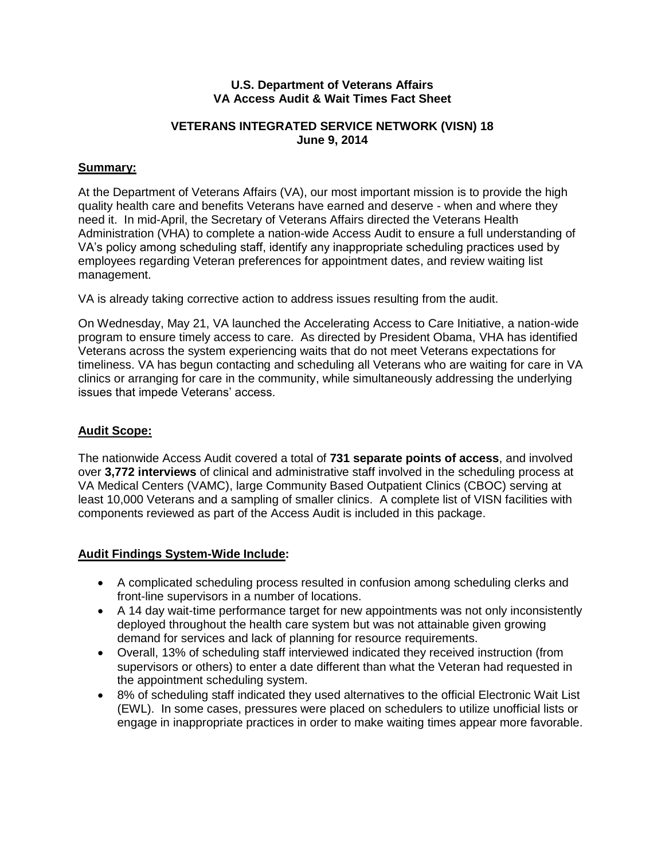#### **U.S. Department of Veterans Affairs VA Access Audit & Wait Times Fact Sheet**

#### **VETERANS INTEGRATED SERVICE NETWORK (VISN) 18 June 9, 2014**

### **Summary:**

At the Department of Veterans Affairs (VA), our most important mission is to provide the high quality health care and benefits Veterans have earned and deserve - when and where they need it. In mid-April, the Secretary of Veterans Affairs directed the Veterans Health Administration (VHA) to complete a nation-wide Access Audit to ensure a full understanding of VA's policy among scheduling staff, identify any inappropriate scheduling practices used by employees regarding Veteran preferences for appointment dates, and review waiting list management.

VA is already taking corrective action to address issues resulting from the audit.

On Wednesday, May 21, VA launched the Accelerating Access to Care Initiative, a nation-wide program to ensure timely access to care. As directed by President Obama, VHA has identified Veterans across the system experiencing waits that do not meet Veterans expectations for timeliness. VA has begun contacting and scheduling all Veterans who are waiting for care in VA clinics or arranging for care in the community, while simultaneously addressing the underlying issues that impede Veterans' access.

#### **Audit Scope:**

The nationwide Access Audit covered a total of **731 separate points of access**, and involved over **3,772 interviews** of clinical and administrative staff involved in the scheduling process at VA Medical Centers (VAMC), large Community Based Outpatient Clinics (CBOC) serving at least 10,000 Veterans and a sampling of smaller clinics. A complete list of VISN facilities with components reviewed as part of the Access Audit is included in this package.

### **Audit Findings System-Wide Include:**

- A complicated scheduling process resulted in confusion among scheduling clerks and front-line supervisors in a number of locations.
- A 14 day wait-time performance target for new appointments was not only inconsistently deployed throughout the health care system but was not attainable given growing demand for services and lack of planning for resource requirements.
- Overall, 13% of scheduling staff interviewed indicated they received instruction (from supervisors or others) to enter a date different than what the Veteran had requested in the appointment scheduling system.
- 8% of scheduling staff indicated they used alternatives to the official Electronic Wait List (EWL). In some cases, pressures were placed on schedulers to utilize unofficial lists or engage in inappropriate practices in order to make waiting times appear more favorable.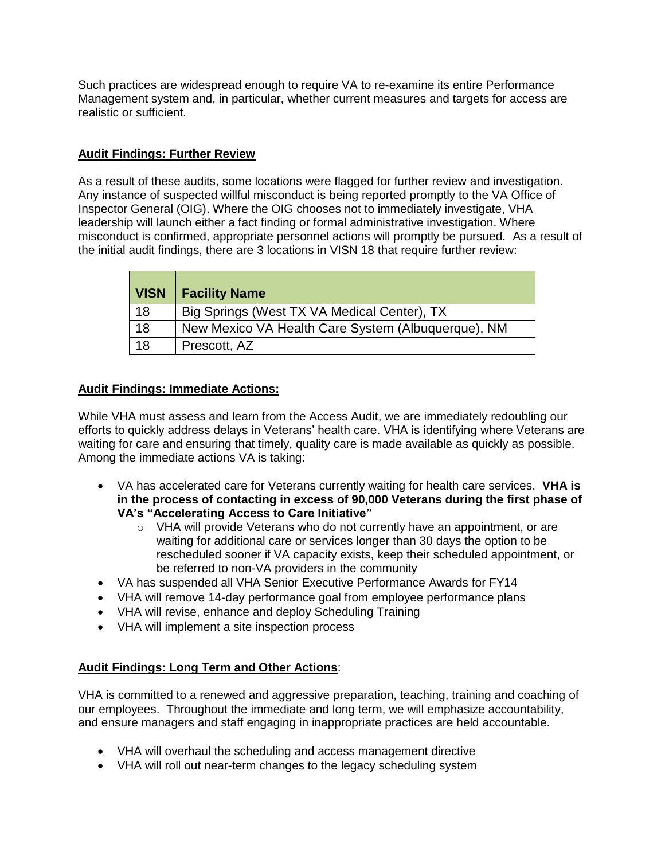Such practices are widespread enough to require VA to re-examine its entire Performance Management system and, in particular, whether current measures and targets for access are realistic or sufficient.

### **Audit Findings: Further Review**

As a result of these audits, some locations were flagged for further review and investigation. Any instance of suspected willful misconduct is being reported promptly to the VA Office of Inspector General (OIG). Where the OIG chooses not to immediately investigate, VHA leadership will launch either a fact finding or formal administrative investigation. Where misconduct is confirmed, appropriate personnel actions will promptly be pursued. As a result of the initial audit findings, there are 3 locations in VISN 18 that require further review:

| <b>VISN</b> | <b>Facility Name</b>                               |
|-------------|----------------------------------------------------|
| 18          | Big Springs (West TX VA Medical Center), TX        |
| 18          | New Mexico VA Health Care System (Albuquerque), NM |
| 18          | Prescott, AZ                                       |

## **Audit Findings: Immediate Actions:**

While VHA must assess and learn from the Access Audit, we are immediately redoubling our efforts to quickly address delays in Veterans' health care. VHA is identifying where Veterans are waiting for care and ensuring that timely, quality care is made available as quickly as possible. Among the immediate actions VA is taking:

- VA has accelerated care for Veterans currently waiting for health care services. **VHA is in the process of contacting in excess of 90,000 Veterans during the first phase of VA's "Accelerating Access to Care Initiative"**
	- $\circ$  VHA will provide Veterans who do not currently have an appointment, or are waiting for additional care or services longer than 30 days the option to be rescheduled sooner if VA capacity exists, keep their scheduled appointment, or be referred to non-VA providers in the community
- VA has suspended all VHA Senior Executive Performance Awards for FY14
- VHA will remove 14-day performance goal from employee performance plans
- VHA will revise, enhance and deploy Scheduling Training
- VHA will implement a site inspection process

# **Audit Findings: Long Term and Other Actions**:

VHA is committed to a renewed and aggressive preparation, teaching, training and coaching of our employees. Throughout the immediate and long term, we will emphasize accountability, and ensure managers and staff engaging in inappropriate practices are held accountable.

- VHA will overhaul the scheduling and access management directive
- VHA will roll out near-term changes to the legacy scheduling system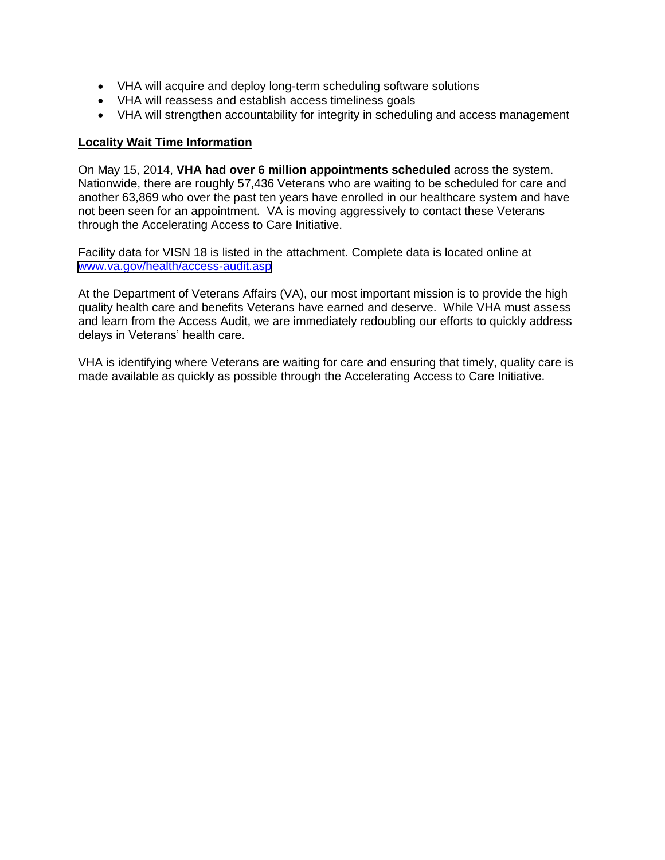- VHA will acquire and deploy long-term scheduling software solutions
- VHA will reassess and establish access timeliness goals
- VHA will strengthen accountability for integrity in scheduling and access management

#### **Locality Wait Time Information**

On May 15, 2014, **VHA had over 6 million appointments scheduled** across the system. Nationwide, there are roughly 57,436 Veterans who are waiting to be scheduled for care and another 63,869 who over the past ten years have enrolled in our healthcare system and have not been seen for an appointment. VA is moving aggressively to contact these Veterans through the Accelerating Access to Care Initiative.

Facility data for VISN 18 is listed in the attachment. Complete data is located online at [www.va.gov/health/access-audit.asp](https://www.va.gov/health/access-audit.asp)

At the Department of Veterans Affairs (VA), our most important mission is to provide the high quality health care and benefits Veterans have earned and deserve. While VHA must assess and learn from the Access Audit, we are immediately redoubling our efforts to quickly address delays in Veterans' health care.

VHA is identifying where Veterans are waiting for care and ensuring that timely, quality care is made available as quickly as possible through the Accelerating Access to Care Initiative.